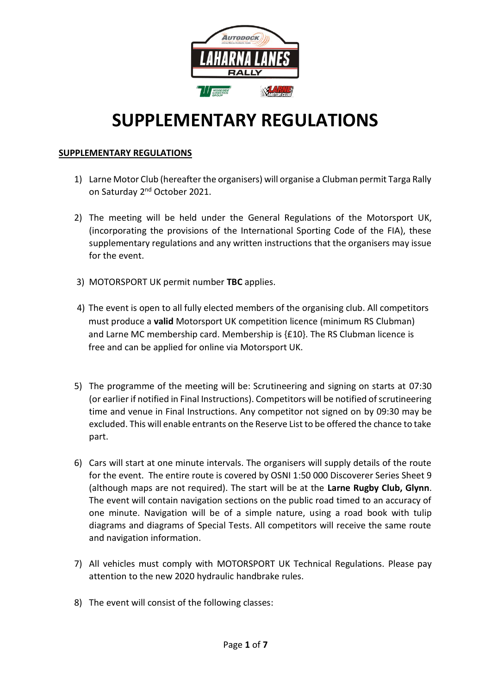

# **SUPPLEMENTARY REGULATIONS**

## **SUPPLEMENTARY REGULATIONS**

- 1) Larne Motor Club (hereafter the organisers) will organise a Clubman permit Targa Rally on Saturday 2<sup>nd</sup> October 2021.
- 2) The meeting will be held under the General Regulations of the Motorsport UK, (incorporating the provisions of the International Sporting Code of the FIA), these supplementary regulations and any written instructions that the organisers may issue for the event.
- 3) MOTORSPORT UK permit number **TBC** applies.
- 4) The event is open to all fully elected members of the organising club. All competitors must produce a **valid** Motorsport UK competition licence (minimum RS Clubman) and Larne MC membership card. Membership is {£10}. The RS Clubman licence is free and can be applied for online via Motorsport UK.
- 5) The programme of the meeting will be: Scrutineering and signing on starts at 07:30 (or earlier if notified in Final Instructions). Competitors will be notified of scrutineering time and venue in Final Instructions. Any competitor not signed on by 09:30 may be excluded. This will enable entrants on the Reserve List to be offered the chance to take part.
- 6) Cars will start at one minute intervals. The organisers will supply details of the route for the event. The entire route is covered by OSNI 1:50 000 Discoverer Series Sheet 9 (although maps are not required). The start will be at the **Larne Rugby Club, Glynn**. The event will contain navigation sections on the public road timed to an accuracy of one minute. Navigation will be of a simple nature, using a road book with tulip diagrams and diagrams of Special Tests. All competitors will receive the same route and navigation information.
- 7) All vehicles must comply with MOTORSPORT UK Technical Regulations. Please pay attention to the new 2020 hydraulic handbrake rules.
- 8) The event will consist of the following classes: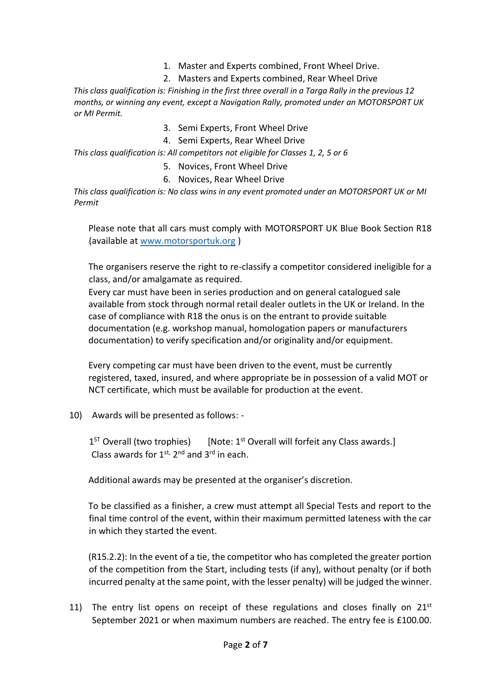- 1. Master and Experts combined, Front Wheel Drive.
- 2. Masters and Experts combined, Rear Wheel Drive

*This class qualification is: Finishing in the first three overall in a Targa Rally in the previous 12 months, or winning any event, except a Navigation Rally, promoted under an MOTORSPORT UK or MI Permit.* 

- 3. Semi Experts, Front Wheel Drive
- 4. Semi Experts, Rear Wheel Drive

*This class qualification is: All competitors not eligible for Classes 1, 2, 5 or 6* 

- 5. Novices, Front Wheel Drive
- 6. Novices, Rear Wheel Drive

*This class qualification is: No class wins in any event promoted under an MOTORSPORT UK or MI Permit* 

Please note that all cars must comply with MOTORSPORT UK Blue Book Section R18 (available at [www.motorsportuk.org](http://www.motorsportuk.org/) )

The organisers reserve the right to re-classify a competitor considered ineligible for a class, and/or amalgamate as required.

Every car must have been in series production and on general catalogued sale available from stock through normal retail dealer outlets in the UK or Ireland. In the case of compliance with R18 the onus is on the entrant to provide suitable documentation (e.g. workshop manual, homologation papers or manufacturers documentation) to verify specification and/or originality and/or equipment.

Every competing car must have been driven to the event, must be currently registered, taxed, insured, and where appropriate be in possession of a valid MOT or NCT certificate, which must be available for production at the event.

10) Awards will be presented as follows: -

 $1<sup>ST</sup>$  Overall (two trophies) [Note:  $1<sup>st</sup>$  Overall will forfeit any Class awards.] Class awards for  $1^{st}$ ,  $2^{nd}$  and  $3^{rd}$  in each.

Additional awards may be presented at the organiser's discretion.

To be classified as a finisher, a crew must attempt all Special Tests and report to the final time control of the event, within their maximum permitted lateness with the car in which they started the event.

(R15.2.2): In the event of a tie, the competitor who has completed the greater portion of the competition from the Start, including tests (if any), without penalty (or if both incurred penalty at the same point, with the lesser penalty) will be judged the winner.

11) The entry list opens on receipt of these regulations and closes finally on  $21^{st}$ September 2021 or when maximum numbers are reached. The entry fee is £100.00.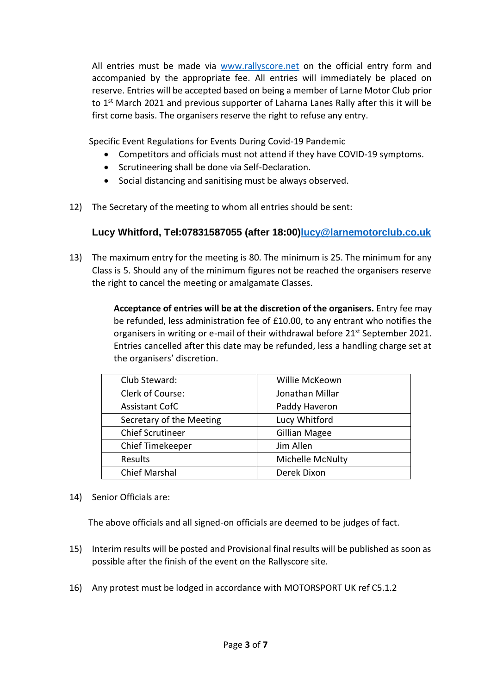All entries must be made via [www.rallyscore.net](http://www.rallyscore.net/) on the official entry form and accompanied by the appropriate fee. All entries will immediately be placed on reserve. Entries will be accepted based on being a member of Larne Motor Club prior to 1<sup>st</sup> March 2021 and previous supporter of Laharna Lanes Rally after this it will be first come basis. The organisers reserve the right to refuse any entry.

Specific Event Regulations for Events During Covid-19 Pandemic

- Competitors and officials must not attend if they have COVID-19 symptoms.
- Scrutineering shall be done via Self-Declaration.
- Social distancing and sanitising must be always observed.
- 12) The Secretary of the meeting to whom all entries should be sent:

# **Lucy Whitford, Tel:07831587055 (after 18:00[\)lucy@larnemotorclub.co.uk](mailto:lucy@larnemotorclub.co.uk)**

13) The maximum entry for the meeting is 80. The minimum is 25. The minimum for any Class is 5. Should any of the minimum figures not be reached the organisers reserve the right to cancel the meeting or amalgamate Classes.

> **Acceptance of entries will be at the discretion of the organisers.** Entry fee may be refunded, less administration fee of £10.00, to any entrant who notifies the organisers in writing or e-mail of their withdrawal before 21<sup>st</sup> September 2021. Entries cancelled after this date may be refunded, less a handling charge set at the organisers' discretion.

| Club Steward:            | Willie McKeown          |
|--------------------------|-------------------------|
| Clerk of Course:         | Jonathan Millar         |
| <b>Assistant CofC</b>    | Paddy Haveron           |
| Secretary of the Meeting | Lucy Whitford           |
| <b>Chief Scrutineer</b>  | <b>Gillian Magee</b>    |
| Chief Timekeeper         | Jim Allen               |
| Results                  | <b>Michelle McNulty</b> |
| <b>Chief Marshal</b>     | Derek Dixon             |

14) Senior Officials are:

The above officials and all signed-on officials are deemed to be judges of fact.

- 15) Interim results will be posted and Provisional final results will be published as soon as possible after the finish of the event on the Rallyscore site.
- 16) Any protest must be lodged in accordance with MOTORSPORT UK ref C5.1.2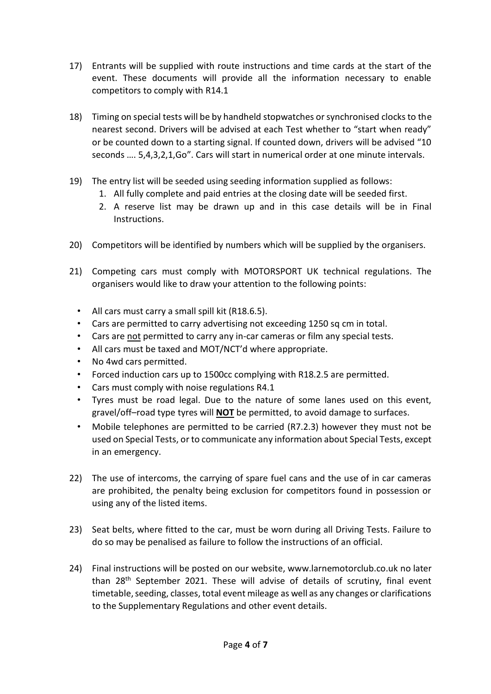- 17) Entrants will be supplied with route instructions and time cards at the start of the event. These documents will provide all the information necessary to enable competitors to comply with R14.1
- 18) Timing on special tests will be by handheld stopwatches or synchronised clocks to the nearest second. Drivers will be advised at each Test whether to "start when ready" or be counted down to a starting signal. If counted down, drivers will be advised "10 seconds …. 5,4,3,2,1,Go". Cars will start in numerical order at one minute intervals.
- 19) The entry list will be seeded using seeding information supplied as follows:
	- 1. All fully complete and paid entries at the closing date will be seeded first.
	- 2. A reserve list may be drawn up and in this case details will be in Final Instructions.
- 20) Competitors will be identified by numbers which will be supplied by the organisers.
- 21) Competing cars must comply with MOTORSPORT UK technical regulations. The organisers would like to draw your attention to the following points:
	- All cars must carry a small spill kit (R18.6.5).
	- Cars are permitted to carry advertising not exceeding 1250 sq cm in total.
	- Cars are not permitted to carry any in-car cameras or film any special tests.
	- All cars must be taxed and MOT/NCT'd where appropriate.
	- No 4wd cars permitted.
	- Forced induction cars up to 1500cc complying with R18.2.5 are permitted.
	- Cars must comply with noise regulations R4.1
	- Tyres must be road legal. Due to the nature of some lanes used on this event, gravel/off–road type tyres will **NOT** be permitted, to avoid damage to surfaces.
	- Mobile telephones are permitted to be carried (R7.2.3) however they must not be used on Special Tests, or to communicate any information about Special Tests, except in an emergency.
- 22) The use of intercoms, the carrying of spare fuel cans and the use of in car cameras are prohibited, the penalty being exclusion for competitors found in possession or using any of the listed items.
- 23) Seat belts, where fitted to the car, must be worn during all Driving Tests. Failure to do so may be penalised as failure to follow the instructions of an official.
- 24) Final instructions will be posted on our website, www.larnemotorclub.co.uk no later than 28th September 2021. These will advise of details of scrutiny, final event timetable, seeding, classes, total event mileage as well as any changes or clarifications to the Supplementary Regulations and other event details.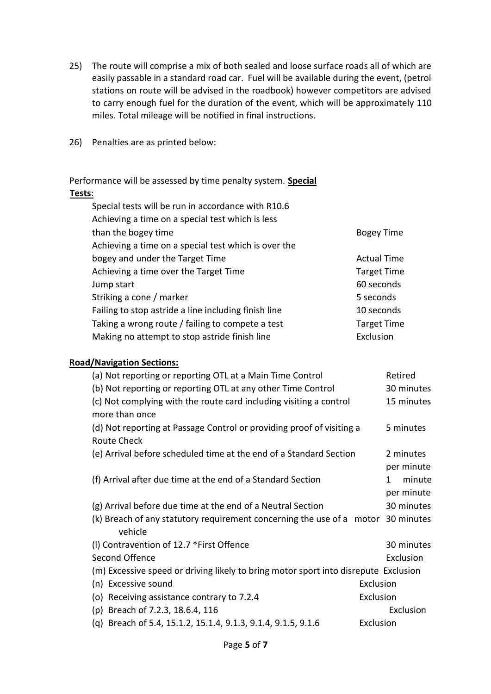- 25) The route will comprise a mix of both sealed and loose surface roads all of which are easily passable in a standard road car. Fuel will be available during the event, (petrol stations on route will be advised in the roadbook) however competitors are advised to carry enough fuel for the duration of the event, which will be approximately 110 miles. Total mileage will be notified in final instructions.
- 26) Penalties are as printed below:

Performance will be assessed by time penalty system. **Special Tests**:

| Special tests will be run in accordance with R10.6   |                    |
|------------------------------------------------------|--------------------|
| Achieving a time on a special test which is less     |                    |
| than the bogey time                                  | <b>Bogey Time</b>  |
| Achieving a time on a special test which is over the |                    |
| bogey and under the Target Time                      | <b>Actual Time</b> |
| Achieving a time over the Target Time                | <b>Target Time</b> |
| Jump start                                           | 60 seconds         |
| Striking a cone / marker                             | 5 seconds          |
| Failing to stop astride a line including finish line | 10 seconds         |
| Taking a wrong route / failing to compete a test     | <b>Target Time</b> |
| Making no attempt to stop astride finish line        | Exclusion          |
|                                                      |                    |

#### **Road/Navigation Sections:**

| (a) Not reporting or reporting OTL at a Main Time Control                                   | Retired                                  |
|---------------------------------------------------------------------------------------------|------------------------------------------|
| (b) Not reporting or reporting OTL at any other Time Control                                | 30 minutes                               |
| (c) Not complying with the route card including visiting a control<br>more than once        |                                          |
| (d) Not reporting at Passage Control or providing proof of visiting a<br><b>Route Check</b> | 5 minutes                                |
| (e) Arrival before scheduled time at the end of a Standard Section                          | 2 minutes                                |
| (f) Arrival after due time at the end of a Standard Section                                 | per minute<br>minute<br>1.<br>per minute |
| (g) Arrival before due time at the end of a Neutral Section                                 | 30 minutes                               |
| (k) Breach of any statutory requirement concerning the use of a motor<br>vehicle            | 30 minutes                               |
| (I) Contravention of 12.7 *First Offence                                                    | 30 minutes                               |
| Second Offence                                                                              | Exclusion                                |
| (m) Excessive speed or driving likely to bring motor sport into disrepute Exclusion         |                                          |
| Exclusion<br>(n) Excessive sound                                                            |                                          |
| Exclusion<br>Receiving assistance contrary to 7.2.4<br>(O)                                  |                                          |
| Breach of 7.2.3, 18.6.4, 116<br>(p)                                                         | Exclusion                                |
| Breach of 5.4, 15.1.2, 15.1.4, 9.1.3, 9.1.4, 9.1.5, 9.1.6<br>Exclusion<br>(g)               |                                          |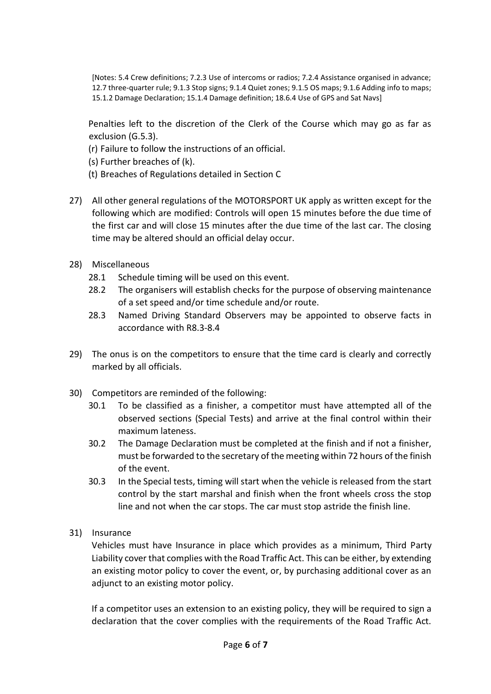[Notes: 5.4 Crew definitions; 7.2.3 Use of intercoms or radios; 7.2.4 Assistance organised in advance; 12.7 three-quarter rule; 9.1.3 Stop signs; 9.1.4 Quiet zones; 9.1.5 OS maps; 9.1.6 Adding info to maps; 15.1.2 Damage Declaration; 15.1.4 Damage definition; 18.6.4 Use of GPS and Sat Navs]

Penalties left to the discretion of the Clerk of the Course which may go as far as exclusion (G.5.3).

- (r) Failure to follow the instructions of an official.
- (s) Further breaches of (k).
- (t) Breaches of Regulations detailed in Section C
- 27) All other general regulations of the MOTORSPORT UK apply as written except for the following which are modified: Controls will open 15 minutes before the due time of the first car and will close 15 minutes after the due time of the last car. The closing time may be altered should an official delay occur.
- 28) Miscellaneous
	- 28.1 Schedule timing will be used on this event.
	- 28.2 The organisers will establish checks for the purpose of observing maintenance of a set speed and/or time schedule and/or route.
	- 28.3 Named Driving Standard Observers may be appointed to observe facts in accordance with R8.3-8.4
- 29) The onus is on the competitors to ensure that the time card is clearly and correctly marked by all officials.
- 30) Competitors are reminded of the following:
	- 30.1 To be classified as a finisher, a competitor must have attempted all of the observed sections (Special Tests) and arrive at the final control within their maximum lateness.
	- 30.2 The Damage Declaration must be completed at the finish and if not a finisher, must be forwarded to the secretary of the meeting within 72 hours of the finish of the event.
	- 30.3 In the Special tests, timing will start when the vehicle is released from the start control by the start marshal and finish when the front wheels cross the stop line and not when the car stops. The car must stop astride the finish line.
- 31) Insurance

Vehicles must have Insurance in place which provides as a minimum, Third Party Liability cover that complies with the Road Traffic Act. This can be either, by extending an existing motor policy to cover the event, or, by purchasing additional cover as an adjunct to an existing motor policy.

If a competitor uses an extension to an existing policy, they will be required to sign a declaration that the cover complies with the requirements of the Road Traffic Act.